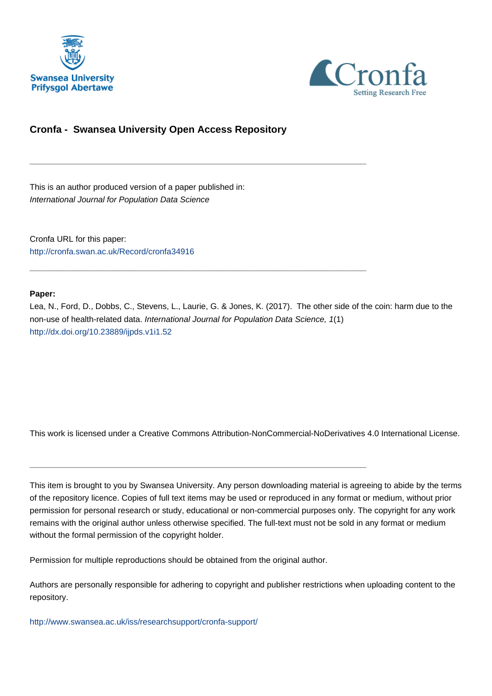



#### **Cronfa - Swansea University Open Access Repository**

\_\_\_\_\_\_\_\_\_\_\_\_\_\_\_\_\_\_\_\_\_\_\_\_\_\_\_\_\_\_\_\_\_\_\_\_\_\_\_\_\_\_\_\_\_\_\_\_\_\_\_\_\_\_\_\_\_\_\_\_\_

\_\_\_\_\_\_\_\_\_\_\_\_\_\_\_\_\_\_\_\_\_\_\_\_\_\_\_\_\_\_\_\_\_\_\_\_\_\_\_\_\_\_\_\_\_\_\_\_\_\_\_\_\_\_\_\_\_\_\_\_\_

This is an author produced version of a paper published in: International Journal for Population Data Science

Cronfa URL for this paper: <http://cronfa.swan.ac.uk/Record/cronfa34916>

#### **Paper:**

Lea, N., Ford, D., Dobbs, C., Stevens, L., Laurie, G. & Jones, K. (2017). The other side of the coin: harm due to the non-use of health-related data. International Journal for Population Data Science, 1(1) <http://dx.doi.org/10.23889/ijpds.v1i1.52>

This work is licensed under a Creative Commons Attribution-NonCommercial-NoDerivatives 4.0 International License.

This item is brought to you by Swansea University. Any person downloading material is agreeing to abide by the terms of the repository licence. Copies of full text items may be used or reproduced in any format or medium, without prior permission for personal research or study, educational or non-commercial purposes only. The copyright for any work remains with the original author unless otherwise specified. The full-text must not be sold in any format or medium without the formal permission of the copyright holder.

Permission for multiple reproductions should be obtained from the original author.

\_\_\_\_\_\_\_\_\_\_\_\_\_\_\_\_\_\_\_\_\_\_\_\_\_\_\_\_\_\_\_\_\_\_\_\_\_\_\_\_\_\_\_\_\_\_\_\_\_\_\_\_\_\_\_\_\_\_\_\_\_

Authors are personally responsible for adhering to copyright and publisher restrictions when uploading content to the repository.

[http://www.swansea.ac.uk/iss/researchsupport/cronfa-support/](http://www.swansea.ac.uk/iss/researchsupport/cronfa-support/ )